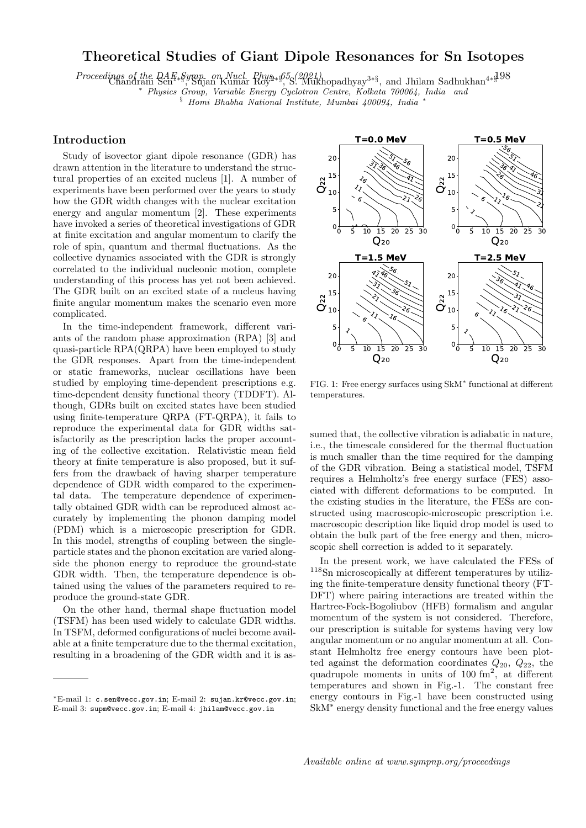## Theoretical Studies of Giant Dipole Resonances for Sn Isotopes

Proceedings of the DAE §ymp. on Nucl. Phys. 65 (2021)<br>Chandrani Sen<sup>4∗§</sup>, Sujan Kumar Roy<sup>2∗§</sup>, S. Mukhopadhyay<sup>3∗§</sup>, and Jhilam Sadhukhan<sup>4∗§</sup>

<sup>∗</sup> Physics Group, Variable Energy Cyclotron Centre, Kolkata 700064, India and

§ Homi Bhabha National Institute, Mumbai 400094, India <sup>∗</sup>

## Introduction

Study of isovector giant dipole resonance (GDR) has drawn attention in the literature to understand the structural properties of an excited nucleus [1]. A number of experiments have been performed over the years to study how the GDR width changes with the nuclear excitation energy and angular momentum [2]. These experiments have invoked a series of theoretical investigations of GDR at finite excitation and angular momentum to clarify the role of spin, quantum and thermal fluctuations. As the collective dynamics associated with the GDR is strongly correlated to the individual nucleonic motion, complete understanding of this process has yet not been achieved. The GDR built on an excited state of a nucleus having finite angular momentum makes the scenario even more complicated.

In the time-independent framework, different variants of the random phase approximation (RPA) [3] and quasi-particle RPA(QRPA) have been employed to study the GDR responses. Apart from the time-independent or static frameworks, nuclear oscillations have been studied by employing time-dependent prescriptions e.g. time-dependent density functional theory (TDDFT). Although, GDRs built on excited states have been studied using finite-temperature QRPA (FT-QRPA), it fails to reproduce the experimental data for GDR widths satisfactorily as the prescription lacks the proper accounting of the collective excitation. Relativistic mean field theory at finite temperature is also proposed, but it suffers from the drawback of having sharper temperature dependence of GDR width compared to the experimental data. The temperature dependence of experimentally obtained GDR width can be reproduced almost accurately by implementing the phonon damping model (PDM) which is a microscopic prescription for GDR. In this model, strengths of coupling between the singleparticle states and the phonon excitation are varied alongside the phonon energy to reproduce the ground-state GDR width. Then, the temperature dependence is obtained using the values of the parameters required to reproduce the ground-state GDR.

On the other hand, thermal shape fluctuation model (TSFM) has been used widely to calculate GDR widths. In TSFM, deformed configurations of nuclei become available at a finite temperature due to the thermal excitation, resulting in a broadening of the GDR width and it is as-



FIG. 1: Free energy surfaces using SkM<sup>∗</sup> functional at different temperatures.

sumed that, the collective vibration is adiabatic in nature, i.e., the timescale considered for the thermal fluctuation is much smaller than the time required for the damping of the GDR vibration. Being a statistical model, TSFM requires a Helmholtz's free energy surface (FES) associated with different deformations to be computed. In the existing studies in the literature, the FESs are constructed using macroscopic-microscopic prescription i.e. macroscopic description like liquid drop model is used to obtain the bulk part of the free energy and then, microscopic shell correction is added to it separately.

In the present work, we have calculated the FESs of <sup>118</sup>Sn microscopically at different temperatures by utilizing the finite-temperature density functional theory (FT-DFT) where pairing interactions are treated within the Hartree-Fock-Bogoliubov (HFB) formalism and angular momentum of the system is not considered. Therefore, our prescription is suitable for systems having very low angular momentum or no angular momentum at all. Constant Helmholtz free energy contours have been plotted against the deformation coordinates  $Q_{20}$ ,  $Q_{22}$ , the quadrupole moments in units of  $100 \text{ fm}^2$ , at different temperatures and shown in Fig.-1. The constant free energy contours in Fig.-1 have been constructed using SkM<sup>∗</sup> energy density functional and the free energy values

<sup>∗</sup>E-mail 1: c.sen@vecc.gov.in; E-mail 2: sujan.kr@vecc.gov.in; E-mail 3: supm@vecc.gov.in; E-mail 4: jhilam@vecc.gov.in